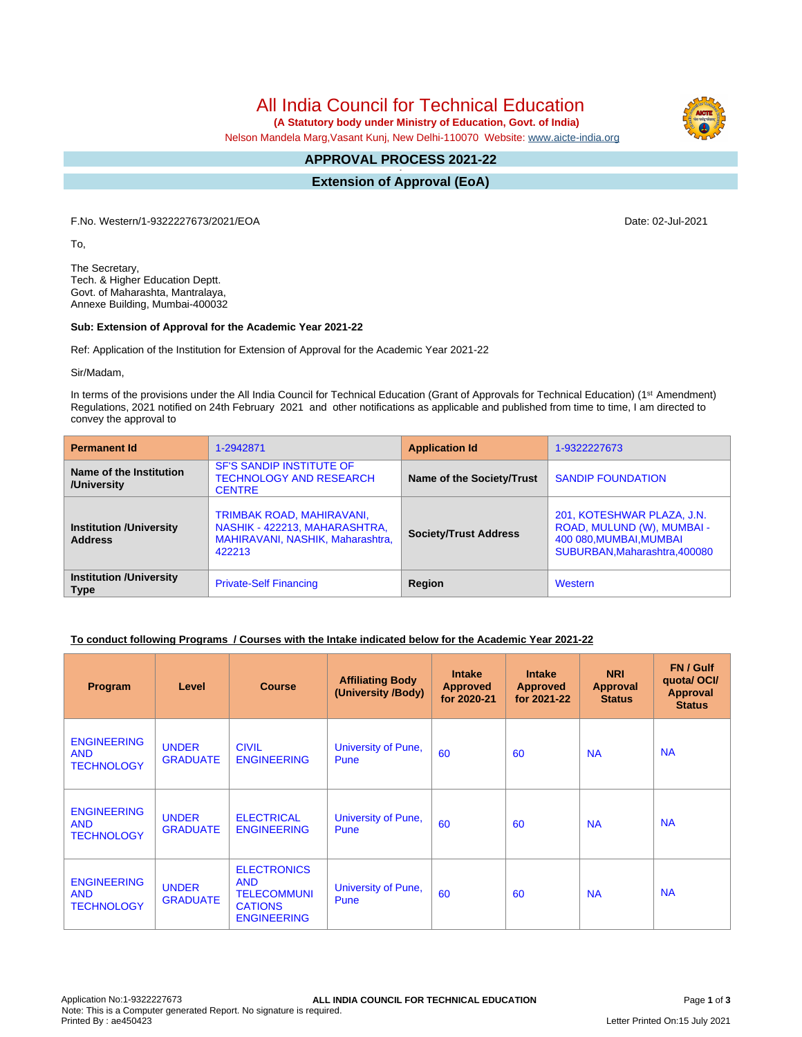All India Council for Technical Education

 **(A Statutory body under Ministry of Education, Govt. of India)**

Nelson Mandela Marg,Vasant Kunj, New Delhi-110070 Website: [www.aicte-india.org](http://www.aicte-india.org)

#### **APPROVAL PROCESS 2021-22 -**

**Extension of Approval (EoA)**

F.No. Western/1-9322227673/2021/EOA Date: 02-Jul-2021

To,

The Secretary, Tech. & Higher Education Deptt. Govt. of Maharashta, Mantralaya, Annexe Building, Mumbai-400032

### **Sub: Extension of Approval for the Academic Year 2021-22**

Ref: Application of the Institution for Extension of Approval for the Academic Year 2021-22

Sir/Madam,

In terms of the provisions under the All India Council for Technical Education (Grant of Approvals for Technical Education) (1<sup>st</sup> Amendment) Regulations, 2021 notified on 24th February 2021 and other notifications as applicable and published from time to time, I am directed to convey the approval to

| <b>Permanent Id</b>                              | 1-2942871                                                                                                | <b>Application Id</b>        | 1-9322227673                                                                                                         |  |
|--------------------------------------------------|----------------------------------------------------------------------------------------------------------|------------------------------|----------------------------------------------------------------------------------------------------------------------|--|
| Name of the Institution<br>/University           | <b>SF'S SANDIP INSTITUTE OF</b><br><b>TECHNOLOGY AND RESEARCH</b><br><b>CENTRE</b>                       | Name of the Society/Trust    | <b>SANDIP FOUNDATION</b>                                                                                             |  |
| <b>Institution /University</b><br><b>Address</b> | TRIMBAK ROAD, MAHIRAVANI,<br>NASHIK - 422213, MAHARASHTRA,<br>MAHIRAVANI, NASHIK, Maharashtra,<br>422213 | <b>Society/Trust Address</b> | 201, KOTESHWAR PLAZA, J.N.<br>ROAD, MULUND (W), MUMBAI -<br>400 080, MUMBAI, MUMBAI<br>SUBURBAN, Maharashtra, 400080 |  |
| <b>Institution /University</b><br><b>Type</b>    | <b>Private-Self Financing</b>                                                                            | Region                       | Western                                                                                                              |  |

### **To conduct following Programs / Courses with the Intake indicated below for the Academic Year 2021-22**

| Program                                               | Level                           | <b>Course</b>                                                                                  | <b>Affiliating Body</b><br>(University /Body) | <b>Intake</b><br><b>Approved</b><br>for 2020-21 | <b>Intake</b><br><b>Approved</b><br>for 2021-22 | <b>NRI</b><br>Approval<br><b>Status</b> | FN / Gulf<br>quotal OCI/<br><b>Approval</b><br><b>Status</b> |
|-------------------------------------------------------|---------------------------------|------------------------------------------------------------------------------------------------|-----------------------------------------------|-------------------------------------------------|-------------------------------------------------|-----------------------------------------|--------------------------------------------------------------|
| <b>ENGINEERING</b><br><b>AND</b><br><b>TECHNOLOGY</b> | <b>UNDER</b><br><b>GRADUATE</b> | <b>CIVIL</b><br><b>ENGINEERING</b>                                                             | University of Pune,<br>Pune                   | 60                                              | 60                                              | <b>NA</b>                               | <b>NA</b>                                                    |
| <b>ENGINEERING</b><br><b>AND</b><br><b>TECHNOLOGY</b> | <b>UNDER</b><br><b>GRADUATE</b> | <b>ELECTRICAL</b><br><b>ENGINEERING</b>                                                        | University of Pune,<br>Pune                   | 60                                              | 60                                              | <b>NA</b>                               | <b>NA</b>                                                    |
| <b>ENGINEERING</b><br><b>AND</b><br><b>TECHNOLOGY</b> | <b>UNDER</b><br><b>GRADUATE</b> | <b>ELECTRONICS</b><br><b>AND</b><br><b>TELECOMMUNI</b><br><b>CATIONS</b><br><b>ENGINEERING</b> | University of Pune,<br>Pune                   | 60                                              | 60                                              | <b>NA</b>                               | <b>NA</b>                                                    |

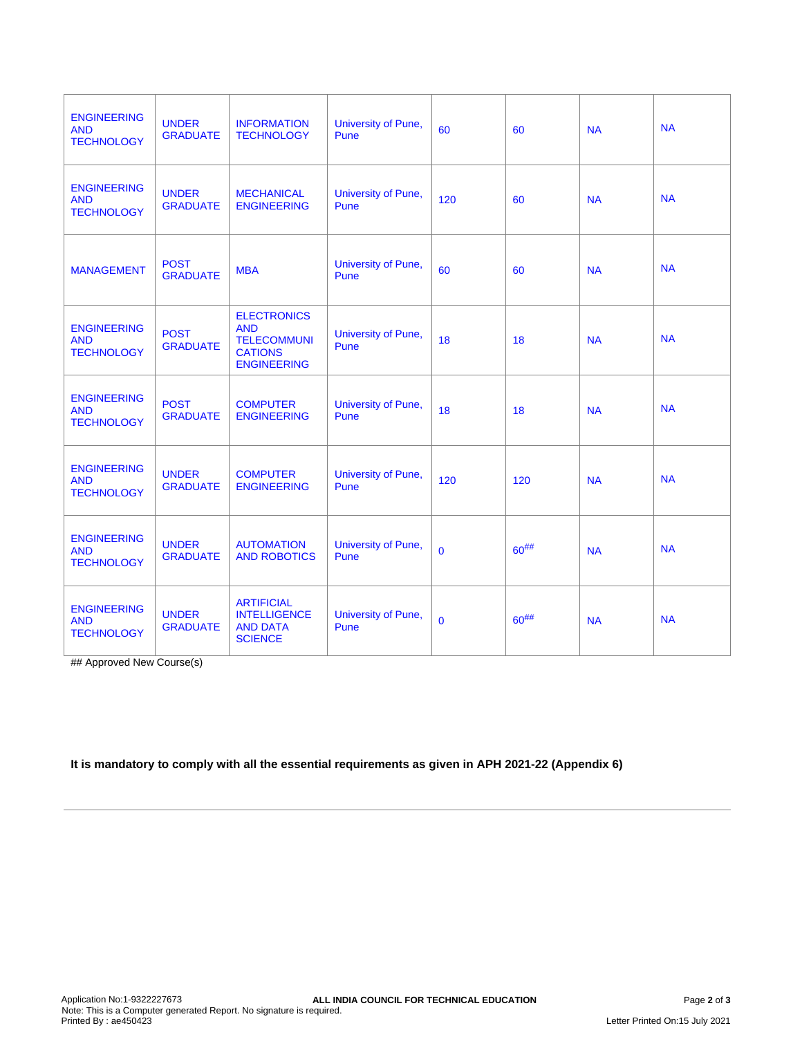| <b>ENGINEERING</b><br><b>AND</b><br><b>TECHNOLOGY</b> | <b>UNDER</b><br><b>GRADUATE</b> | <b>INFORMATION</b><br><b>TECHNOLOGY</b>                                                        | University of Pune,<br>Pune | 60             | 60         | <b>NA</b> | <b>NA</b> |
|-------------------------------------------------------|---------------------------------|------------------------------------------------------------------------------------------------|-----------------------------|----------------|------------|-----------|-----------|
| <b>ENGINEERING</b><br><b>AND</b><br><b>TECHNOLOGY</b> | <b>UNDER</b><br><b>GRADUATE</b> | <b>MECHANICAL</b><br><b>ENGINEERING</b>                                                        | University of Pune,<br>Pune | 120            | 60         | <b>NA</b> | <b>NA</b> |
| <b>MANAGEMENT</b>                                     | <b>POST</b><br><b>GRADUATE</b>  | <b>MBA</b>                                                                                     | University of Pune,<br>Pune | 60             | 60         | <b>NA</b> | <b>NA</b> |
| <b>ENGINEERING</b><br><b>AND</b><br><b>TECHNOLOGY</b> | <b>POST</b><br><b>GRADUATE</b>  | <b>ELECTRONICS</b><br><b>AND</b><br><b>TELECOMMUNI</b><br><b>CATIONS</b><br><b>ENGINEERING</b> | University of Pune,<br>Pune | 18             | 18         | <b>NA</b> | <b>NA</b> |
| <b>ENGINEERING</b><br><b>AND</b><br><b>TECHNOLOGY</b> | <b>POST</b><br><b>GRADUATE</b>  | <b>COMPUTER</b><br><b>ENGINEERING</b>                                                          | University of Pune,<br>Pune | 18             | 18         | <b>NA</b> | <b>NA</b> |
| <b>ENGINEERING</b><br><b>AND</b><br><b>TECHNOLOGY</b> | <b>UNDER</b><br><b>GRADUATE</b> | <b>COMPUTER</b><br><b>ENGINEERING</b>                                                          | University of Pune,<br>Pune | 120            | 120        | <b>NA</b> | <b>NA</b> |
| <b>ENGINEERING</b><br><b>AND</b><br><b>TECHNOLOGY</b> | <b>UNDER</b><br><b>GRADUATE</b> | <b>AUTOMATION</b><br><b>AND ROBOTICS</b>                                                       | University of Pune,<br>Pune | $\overline{0}$ | $60^{#}\%$ | <b>NA</b> | <b>NA</b> |
| <b>ENGINEERING</b><br><b>AND</b><br><b>TECHNOLOGY</b> | <b>UNDER</b><br><b>GRADUATE</b> | <b>ARTIFICIAL</b><br><b>INTELLIGENCE</b><br><b>AND DATA</b><br><b>SCIENCE</b>                  | University of Pune,<br>Pune | $\Omega$       | $60^{#}\%$ | <b>NA</b> | <b>NA</b> |

## Approved New Course(s)

# **It is mandatory to comply with all the essential requirements as given in APH 2021-22 (Appendix 6)**